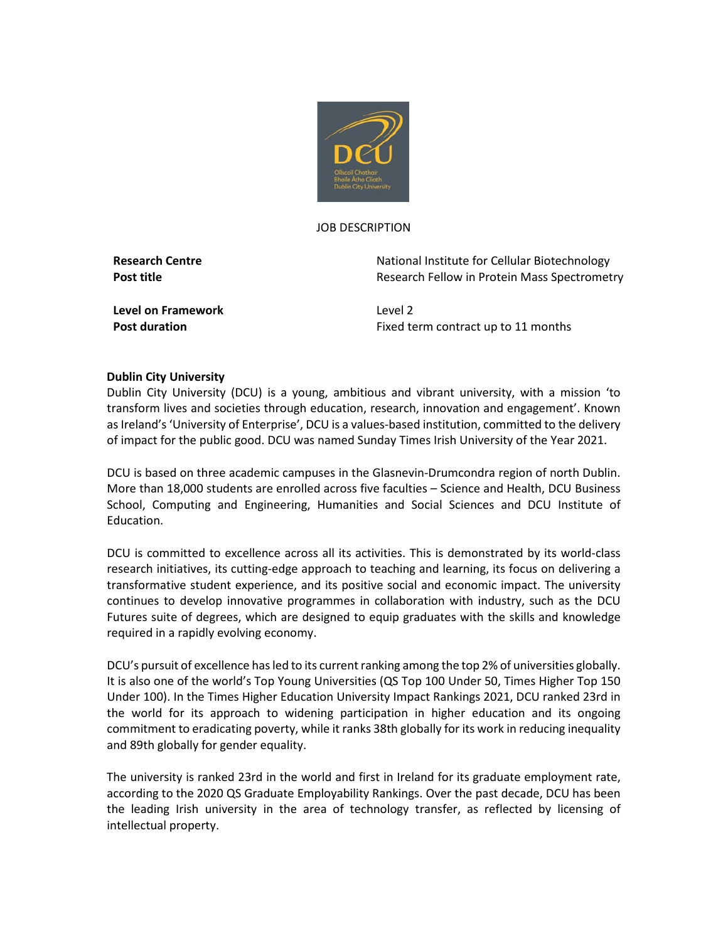

#### JOB DESCRIPTION

**Research Centre National Institute for Cellular Biotechnology Post title Research Fellow in Protein Mass Spectrometry** 

**Level on Framework** Level 2

**Post duration Fixed term contract up to 11 months** 

### **Dublin City University**

Dublin City University (DCU) is a young, ambitious and vibrant university, with a mission 'to transform lives and societies through education, research, innovation and engagement'. Known as Ireland's 'University of Enterprise', DCU is a values-based institution, committed to the delivery of impact for the public good. DCU was named Sunday Times Irish University of the Year 2021.

DCU is based on three academic campuses in the Glasnevin-Drumcondra region of north Dublin. More than 18,000 students are enrolled across five faculties – Science and Health, DCU Business School, Computing and Engineering, Humanities and Social Sciences and DCU Institute of Education.

DCU is committed to excellence across all its activities. This is demonstrated by its world-class research initiatives, its cutting-edge approach to teaching and learning, its focus on delivering a transformative student experience, and its positive social and economic impact. The university continues to develop innovative programmes in collaboration with industry, such as the DCU Futures suite of degrees, which are designed to equip graduates with the skills and knowledge required in a rapidly evolving economy.

DCU's pursuit of excellence has led to its current ranking among the top 2% of universities globally. It is also one of the world's Top Young Universities (QS Top 100 Under 50, Times Higher Top 150 Under 100). In the Times Higher Education University Impact Rankings 2021, DCU ranked 23rd in the world for its approach to widening participation in higher education and its ongoing commitment to eradicating poverty, while it ranks 38th globally for its work in reducing inequality and 89th globally for gender equality.

The university is ranked 23rd in the world and first in Ireland for its graduate employment rate, according to the 2020 QS Graduate Employability Rankings. Over the past decade, DCU has been the leading Irish university in the area of technology transfer, as reflected by licensing of intellectual property.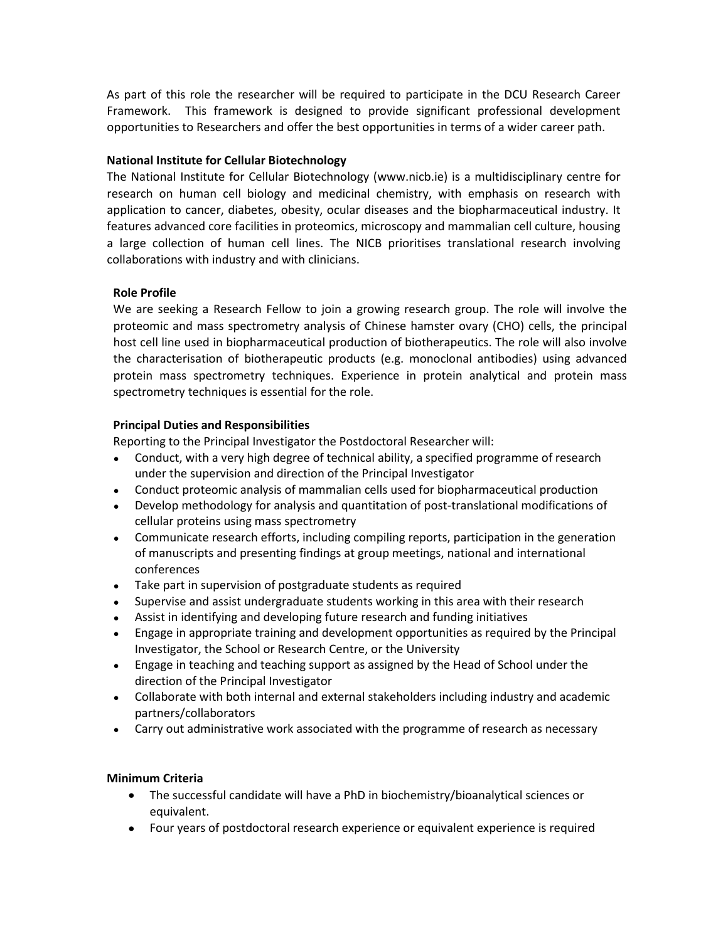As part of this role the researcher will be required to participate in the DCU Research Career Framework. This framework is designed to provide significant professional development opportunities to Researchers and offer the best opportunities in terms of a wider career path.

## **National Institute for Cellular Biotechnology**

The National Institute for Cellular Biotechnology (www.nicb.ie) is a multidisciplinary centre for research on human cell biology and medicinal chemistry, with emphasis on research with application to cancer, diabetes, obesity, ocular diseases and the biopharmaceutical industry. It features advanced core facilities in proteomics, microscopy and mammalian cell culture, housing a large collection of human cell lines. The NICB prioritises translational research involving collaborations with industry and with clinicians.

# **Role Profile**

We are seeking a Research Fellow to join a growing research group. The role will involve the proteomic and mass spectrometry analysis of Chinese hamster ovary (CHO) cells, the principal host cell line used in biopharmaceutical production of biotherapeutics. The role will also involve the characterisation of biotherapeutic products (e.g. monoclonal antibodies) using advanced protein mass spectrometry techniques. Experience in protein analytical and protein mass spectrometry techniques is essential for the role.

## **Principal Duties and Responsibilities**

Reporting to the Principal Investigator the Postdoctoral Researcher will:

- Conduct, with a very high degree of technical ability, a specified programme of research under the supervision and direction of the Principal Investigator
- Conduct proteomic analysis of mammalian cells used for biopharmaceutical production
- Develop methodology for analysis and quantitation of post-translational modifications of cellular proteins using mass spectrometry
- Communicate research efforts, including compiling reports, participation in the generation of manuscripts and presenting findings at group meetings, national and international conferences
- Take part in supervision of postgraduate students as required
- Supervise and assist undergraduate students working in this area with their research
- Assist in identifying and developing future research and funding initiatives
- Engage in appropriate training and development opportunities as required by the Principal Investigator, the School or Research Centre, or the University
- Engage in teaching and teaching support as assigned by the Head of School under the direction of the Principal Investigator
- Collaborate with both internal and external stakeholders including industry and academic partners/collaborators
- Carry out administrative work associated with the programme of research as necessary

# **Minimum Criteria**

- The successful candidate will have a PhD in biochemistry/bioanalytical sciences or equivalent.
- Four years of postdoctoral research experience or equivalent experience is required